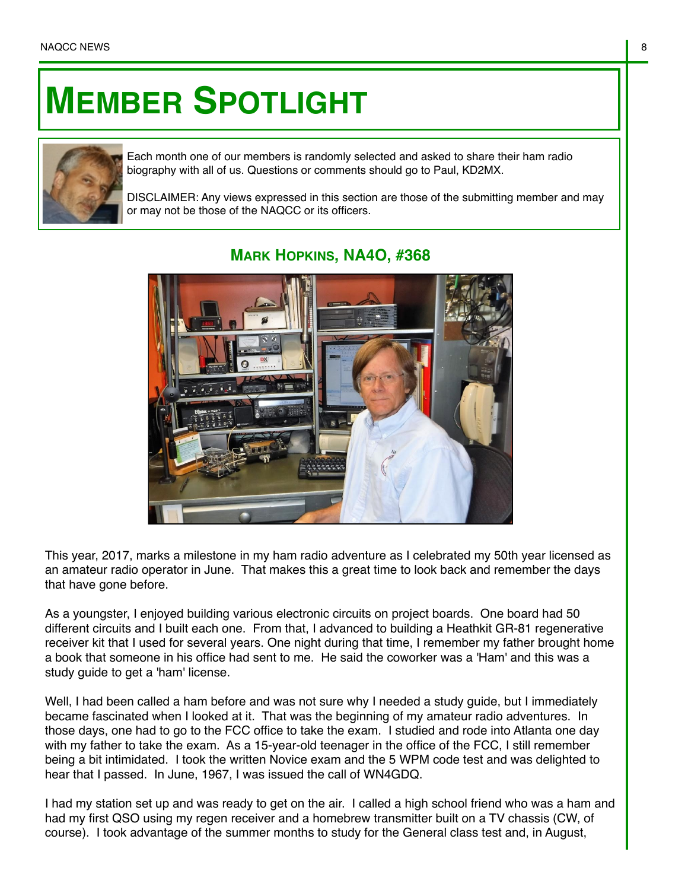## **MEMBER SPOTLIGHT**



Each month one of our members is randomly selected and asked to share their ham radio biography with all of us. Questions or comments should go to Paul, KD2MX.

DISCLAIMER: Any views expressed in this section are those of the submitting member and may or may not be those of the NAQCC or its officers.



## **MARK HOPKINS, NA4O, #368**

This year, 2017, marks a milestone in my ham radio adventure as I celebrated my 50th year licensed as an amateur radio operator in June. That makes this a great time to look back and remember the days that have gone before.

As a youngster, I enjoyed building various electronic circuits on project boards. One board had 50 different circuits and I built each one. From that, I advanced to building a Heathkit GR-81 regenerative receiver kit that I used for several years. One night during that time, I remember my father brought home a book that someone in his office had sent to me. He said the coworker was a 'Ham' and this was a study guide to get a 'ham' license.

Well, I had been called a ham before and was not sure why I needed a study quide, but I immediately became fascinated when I looked at it. That was the beginning of my amateur radio adventures. In those days, one had to go to the FCC office to take the exam. I studied and rode into Atlanta one day with my father to take the exam. As a 15-year-old teenager in the office of the FCC, I still remember being a bit intimidated. I took the written Novice exam and the 5 WPM code test and was delighted to hear that I passed. In June, 1967, I was issued the call of WN4GDQ.

I had my station set up and was ready to get on the air. I called a high school friend who was a ham and had my first QSO using my regen receiver and a homebrew transmitter built on a TV chassis (CW, of course). I took advantage of the summer months to study for the General class test and, in August,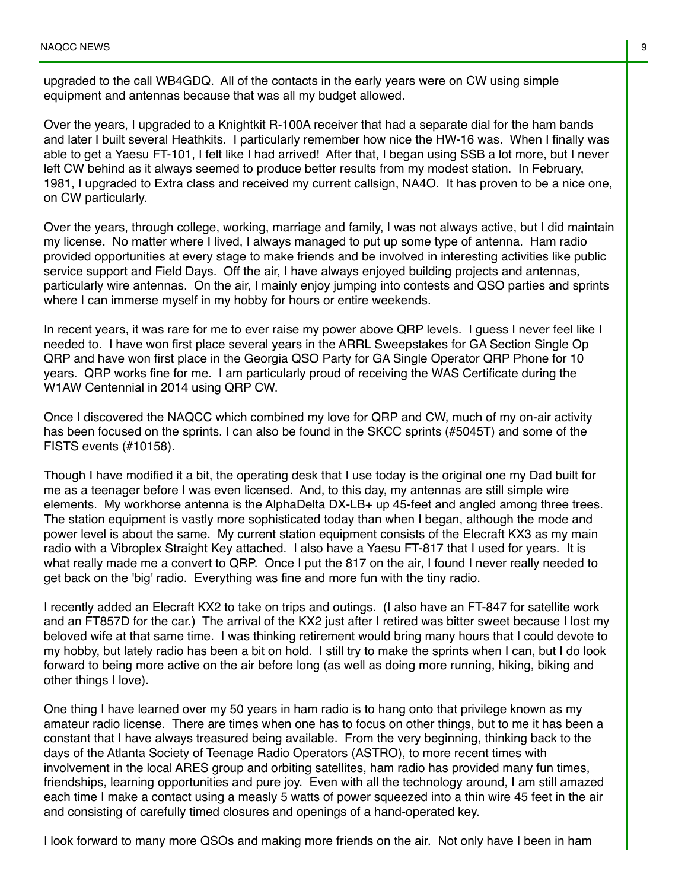upgraded to the call WB4GDQ. All of the contacts in the early years were on CW using simple equipment and antennas because that was all my budget allowed.

Over the years, I upgraded to a Knightkit R-100A receiver that had a separate dial for the ham bands and later I built several Heathkits. I particularly remember how nice the HW-16 was. When I finally was able to get a Yaesu FT-101, I felt like I had arrived! After that, I began using SSB a lot more, but I never left CW behind as it always seemed to produce better results from my modest station. In February, 1981, I upgraded to Extra class and received my current callsign, NA4O. It has proven to be a nice one, on CW particularly.

Over the years, through college, working, marriage and family, I was not always active, but I did maintain my license. No matter where I lived, I always managed to put up some type of antenna. Ham radio provided opportunities at every stage to make friends and be involved in interesting activities like public service support and Field Days. Off the air, I have always enjoyed building projects and antennas, particularly wire antennas. On the air, I mainly enjoy jumping into contests and QSO parties and sprints where I can immerse myself in my hobby for hours or entire weekends.

In recent years, it was rare for me to ever raise my power above QRP levels. I guess I never feel like I needed to. I have won first place several years in the ARRL Sweepstakes for GA Section Single Op QRP and have won first place in the Georgia QSO Party for GA Single Operator QRP Phone for 10 years. QRP works fine for me. I am particularly proud of receiving the WAS Certificate during the W1AW Centennial in 2014 using QRP CW.

Once I discovered the NAQCC which combined my love for QRP and CW, much of my on-air activity has been focused on the sprints. I can also be found in the SKCC sprints (#5045T) and some of the FISTS events (#10158).

Though I have modified it a bit, the operating desk that I use today is the original one my Dad built for me as a teenager before I was even licensed. And, to this day, my antennas are still simple wire elements. My workhorse antenna is the AlphaDelta DX-LB+ up 45-feet and angled among three trees. The station equipment is vastly more sophisticated today than when I began, although the mode and power level is about the same. My current station equipment consists of the Elecraft KX3 as my main radio with a Vibroplex Straight Key attached. I also have a Yaesu FT-817 that I used for years. It is what really made me a convert to QRP. Once I put the 817 on the air, I found I never really needed to get back on the 'big' radio. Everything was fine and more fun with the tiny radio.

I recently added an Elecraft KX2 to take on trips and outings. (I also have an FT-847 for satellite work and an FT857D for the car.) The arrival of the KX2 just after I retired was bitter sweet because I lost my beloved wife at that same time. I was thinking retirement would bring many hours that I could devote to my hobby, but lately radio has been a bit on hold. I still try to make the sprints when I can, but I do look forward to being more active on the air before long (as well as doing more running, hiking, biking and other things I love).

One thing I have learned over my 50 years in ham radio is to hang onto that privilege known as my amateur radio license. There are times when one has to focus on other things, but to me it has been a constant that I have always treasured being available. From the very beginning, thinking back to the days of the Atlanta Society of Teenage Radio Operators (ASTRO), to more recent times with involvement in the local ARES group and orbiting satellites, ham radio has provided many fun times, friendships, learning opportunities and pure joy. Even with all the technology around, I am still amazed each time I make a contact using a measly 5 watts of power squeezed into a thin wire 45 feet in the air and consisting of carefully timed closures and openings of a hand-operated key.

I look forward to many more QSOs and making more friends on the air. Not only have I been in ham